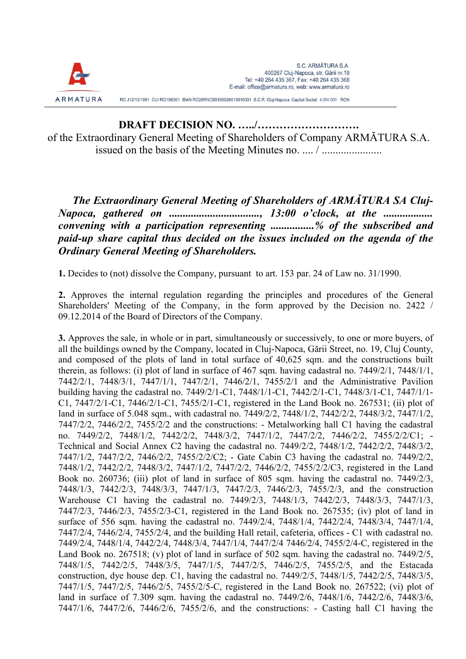

RC J12/13/1991 CUI RO199001 IBAN RO29RNCB0106026615010001 B.C.R. Cluj-Napoca Capital Social: 4,000,000 RON

DRAFT DECISION NO. …../………………………. of the Extraordinary General Meeting of Shareholders of Company ARMĂTURA S.A. issued on the basis of the Meeting Minutes no. .... / ...........................

The Extraordinary General Meeting of Shareholders of ARMĂTURA SA Cluj-Napoca, gathered on .................................., 13:00 o'clock, at the .................... convening with a participation representing ................% of the subscribed and paid-up share capital thus decided on the issues included on the agenda of the Ordinary General Meeting of Shareholders.

1. Decides to (not) dissolve the Company, pursuant to art. 153 par. 24 of Law no. 31/1990.

2. Approves the internal regulation regarding the principles and procedures of the General Shareholders' Meeting of the Company, in the form approved by the Decision no. 2422 / 09.12.2014 of the Board of Directors of the Company.

3. Approves the sale, in whole or in part, simultaneously or successively, to one or more buyers, of all the buildings owned by the Company, located in Cluj-Napoca, Gării Street, no. 19, Cluj County, and composed of the plots of land in total surface of 40,625 sqm. and the constructions built therein, as follows: (i) plot of land in surface of 467 sqm. having cadastral no. 7449/2/1, 7448/1/1, 7442/2/1, 7448/3/1, 7447/1/1, 7447/2/1, 7446/2/1, 7455/2/1 and the Administrative Pavilion building having the cadastral no. 7449/2/1-C1, 7448/1/1-C1, 7442/2/1-C1, 7448/3/1-C1, 7447/1/1- C1, 7447/2/1-C1, 7446/2/1-C1, 7455/2/1-C1, registered in the Land Book no. 267531; (ii) plot of land in surface of 5.048 sqm., with cadastral no. 7449/2/2, 7448/1/2, 7442/2/2, 7448/3/2, 7447/1/2, 7447/2/2, 7446/2/2, 7455/2/2 and the constructions: - Metalworking hall C1 having the cadastral no. 7449/2/2, 7448/1/2, 7442/2/2, 7448/3/2, 7447/1/2, 7447/2/2, 7446/2/2, 7455/2/2/C1; - Technical and Social Annex C2 having the cadastral no. 7449/2/2, 7448/1/2, 7442/2/2, 7448/3/2, 7447/1/2, 7447/2/2, 7446/2/2, 7455/2/2/C2; - Gate Cabin C3 having the cadastral no. 7449/2/2, 7448/1/2, 7442/2/2, 7448/3/2, 7447/1/2, 7447/2/2, 7446/2/2, 7455/2/2/C3, registered in the Land Book no. 260736; (iii) plot of land in surface of 805 sqm. having the cadastral no. 7449/2/3, 7448/1/3, 7442/2/3, 7448/3/3, 7447/1/3, 7447/2/3, 7446/2/3, 7455/2/3, and the construction Warehouse C1 having the cadastral no. 7449/2/3, 7448/1/3, 7442/2/3, 7448/3/3, 7447/1/3, 7447/2/3, 7446/2/3, 7455/2/3-C1, registered in the Land Book no. 267535; (iv) plot of land in surface of 556 sqm. having the cadastral no. 7449/2/4, 7448/1/4, 7442/2/4, 7448/3/4, 7447/1/4, 7447/2/4, 7446/2/4, 7455/2/4, and the building Hall retail, cafeteria, offices - C1 with cadastral no. 7449/2/4, 7448/1/4, 7442/2/4, 7448/3/4, 7447/1/4, 7447/2/4 7446/2/4, 7455/2/4-C, registered in the Land Book no. 267518; (v) plot of land in surface of 502 sqm. having the cadastral no. 7449/2/5, 7448/1/5, 7442/2/5, 7448/3/5, 7447/1/5, 7447/2/5, 7446/2/5, 7455/2/5, and the Estacada construction, dye house dep. C1, having the cadastral no. 7449/2/5, 7448/1/5, 7442/2/5, 7448/3/5, 7447/1/5, 7447/2/5, 7446/2/5, 7455/2/5-C, registered in the Land Book no. 267522; (vi) plot of land in surface of 7.309 sqm. having the cadastral no. 7449/2/6, 7448/1/6, 7442/2/6, 7448/3/6, 7447/1/6, 7447/2/6, 7446/2/6, 7455/2/6, and the constructions: - Casting hall C1 having the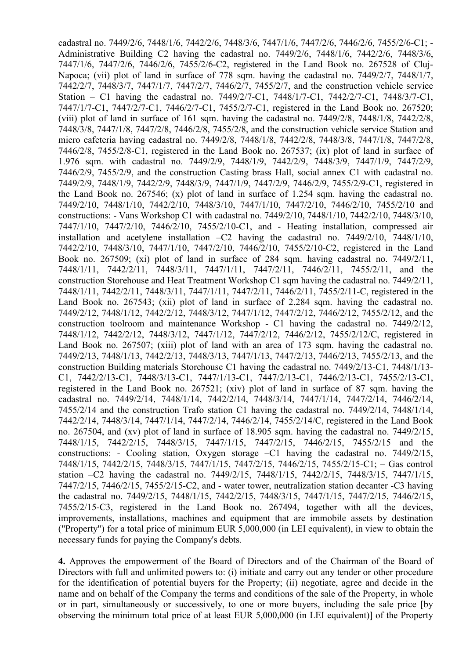cadastral no. 7449/2/6, 7448/1/6, 7442/2/6, 7448/3/6, 7447/1/6, 7447/2/6, 7446/2/6, 7455/2/6-C1; - Administrative Building C2 having the cadastral no. 7449/2/6, 7448/1/6, 7442/2/6, 7448/3/6, 7447/1/6, 7447/2/6, 7446/2/6, 7455/2/6-C2, registered in the Land Book no. 267528 of Cluj-Napoca; (vii) plot of land in surface of 778 sqm. having the cadastral no. 7449/2/7, 7448/1/7, 7442/2/7, 7448/3/7, 7447/1/7, 7447/2/7, 7446/2/7, 7455/2/7, and the construction vehicle service Station – C1 having the cadastral no. 7449/2/7-C1, 7448/1/7-C1, 7442/2/7-C1, 7448/3/7-C1, 7447/1/7-C1, 7447/2/7-C1, 7446/2/7-C1, 7455/2/7-C1, registered in the Land Book no. 267520; (viii) plot of land in surface of 161 sqm. having the cadastral no.  $7449/2/8$ ,  $7448/1/8$ ,  $7442/2/8$ , 7448/3/8, 7447/1/8, 7447/2/8, 7446/2/8, 7455/2/8, and the construction vehicle service Station and micro cafeteria having cadastral no. 7449/2/8, 7448/1/8, 7442/2/8, 7448/3/8, 7447/1/8, 7447/2/8, 7446/2/8, 7455/2/8-C1, registered in the Land Book no. 267537; (ix) plot of land in surface of 1.976 sqm. with cadastral no. 7449/2/9, 7448/1/9, 7442/2/9, 7448/3/9, 7447/1/9, 7447/2/9, 7446/2/9, 7455/2/9, and the construction Casting brass Hall, social annex C1 with cadastral no. 7449/2/9, 7448/1/9, 7442/2/9, 7448/3/9, 7447/1/9, 7447/2/9, 7446/2/9, 7455/2/9-C1, registered in the Land Book no. 267546; (x) plot of land in surface of 1.254 sqm. having the cadastral no. 7449/2/10, 7448/1/10, 7442/2/10, 7448/3/10, 7447/1/10, 7447/2/10, 7446/2/10, 7455/2/10 and constructions: - Vans Workshop C1 with cadastral no. 7449/2/10, 7448/1/10, 7442/2/10, 7448/3/10, 7447/1/10, 7447/2/10, 7446/2/10, 7455/2/10-C1, and - Heating installation, compressed air installation and acetylene installation –C2 having the cadastral no. 7449/2/10, 7448/1/10, 7442/2/10, 7448/3/10, 7447/1/10, 7447/2/10, 7446/2/10, 7455/2/10-C2, registered in the Land Book no. 267509; (xi) plot of land in surface of 284 sqm. having cadastral no. 7449/2/11, 7448/1/11, 7442/2/11, 7448/3/11, 7447/1/11, 7447/2/11, 7446/2/11, 7455/2/11, and the construction Storehouse and Heat Treatment Workshop C1 sqm having the cadastral no. 7449/2/11, 7448/1/11, 7442/2/11, 7448/3/11, 7447/1/11, 7447/2/11, 7446/2/11, 7455/2/11-C, registered in the Land Book no. 267543; (xii) plot of land in surface of 2.284 sqm. having the cadastral no. 7449/2/12, 7448/1/12, 7442/2/12, 7448/3/12, 7447/1/12, 7447/2/12, 7446/2/12, 7455/2/12, and the construction toolroom and maintenance Workshop - C1 having the cadastral no. 7449/2/12, 7448/1/12, 7442/2/12, 7448/3/12, 7447/1/12, 7447/2/12, 7446/2/12, 7455/2/12/C, registered in Land Book no. 267507; (xiii) plot of land with an area of 173 sqm. having the cadastral no. 7449/2/13, 7448/1/13, 7442/2/13, 7448/3/13, 7447/1/13, 7447/2/13, 7446/2/13, 7455/2/13, and the construction Building materials Storehouse C1 having the cadastral no. 7449/2/13-C1, 7448/1/13- C1, 7442/2/13-C1, 7448/3/13-C1, 7447/1/13-C1, 7447/2/13-C1, 7446/2/13-C1, 7455/2/13-C1, registered in the Land Book no. 267521; (xiv) plot of land in surface of 87 sqm. having the cadastral no. 7449/2/14, 7448/1/14, 7442/2/14, 7448/3/14, 7447/1/14, 7447/2/14, 7446/2/14, 7455/2/14 and the construction Trafo station C1 having the cadastral no. 7449/2/14, 7448/1/14, 7442/2/14, 7448/3/14, 7447/1/14, 7447/2/14, 7446/2/14, 7455/2/14/C, registered in the Land Book no. 267504, and (xv) plot of land in surface of 18.905 sqm. having the cadastral no. 7449/2/15, 7448/1/15, 7442/2/15, 7448/3/15, 7447/1/15, 7447/2/15, 7446/2/15, 7455/2/15 and the constructions: - Cooling station, Oxygen storage –C1 having the cadastral no. 7449/2/15, 7448/1/15, 7442/2/15, 7448/3/15, 7447/1/15, 7447/2/15, 7446/2/15, 7455/2/15-C1; – Gas control station –C2 having the cadastral no. 7449/2/15, 7448/1/15, 7442/2/15, 7448/3/15, 7447/1/15, 7447/2/15, 7446/2/15, 7455/2/15-C2, and - water tower, neutralization station decanter -C3 having the cadastral no. 7449/2/15, 7448/1/15, 7442/2/15, 7448/3/15, 7447/1/15, 7447/2/15, 7446/2/15, 7455/2/15-C3, registered in the Land Book no. 267494, together with all the devices, improvements, installations, machines and equipment that are immobile assets by destination ("Property") for a total price of minimum EUR 5,000,000 (in LEI equivalent), in view to obtain the necessary funds for paying the Company's debts.

4. Approves the empowerment of the Board of Directors and of the Chairman of the Board of Directors with full and unlimited powers to: (i) initiate and carry out any tender or other procedure for the identification of potential buyers for the Property; (ii) negotiate, agree and decide in the name and on behalf of the Company the terms and conditions of the sale of the Property, in whole or in part, simultaneously or successively, to one or more buyers, including the sale price [by observing the minimum total price of at least EUR 5,000,000 (in LEI equivalent)] of the Property